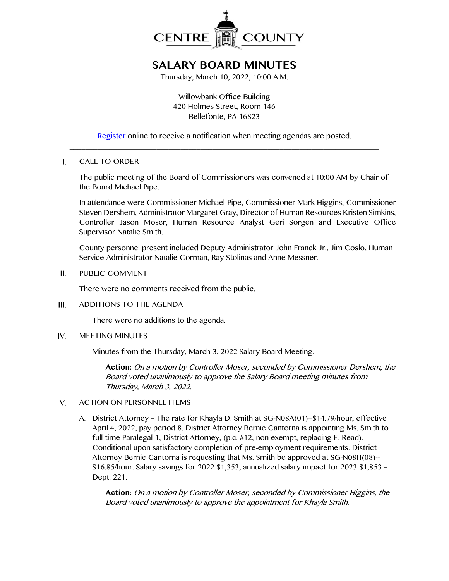

# **SALARY BOARD MINUTES**

Thursday, March 10, 2022, 10:00 A.M.

Willowbank Office Building 420 Holmes Street, Room 146 Bellefonte, PA 16823

[Register](http://www.centrecountypa.gov/AgendaCenter) online to receive a notification when meeting agendas are posted.  $\_$  , and the set of the set of the set of the set of the set of the set of the set of the set of the set of the set of the set of the set of the set of the set of the set of the set of the set of the set of the set of th

#### $\mathbf{I}$ . CALL TO ORDER

The public meeting of the Board of Commissioners was convened at 10:00 AM by Chair of the Board Michael Pipe.

In attendance were Commissioner Michael Pipe, Commissioner Mark Higgins, Commissioner Steven Dershem, Administrator Margaret Gray, Director of Human Resources Kristen Simkins, Controller Jason Moser, Human Resource Analyst Geri Sorgen and Executive Office Supervisor Natalie Smith.

County personnel present included Deputy Administrator John Franek Jr., Jim Coslo, Human Service Administrator Natalie Corman, Ray Stolinas and Anne Messner.

Ш. PUBLIC COMMENT

There were no comments received from the public.

 $III.$ ADDITIONS TO THE AGENDA

There were no additions to the agenda.

IV. MEETING MINUTES

Minutes from the Thursday, March 3, 2022 Salary Board Meeting.

**Action:** On a motion by Controller Moser, seconded by Commissioner Dershem, the Board voted unanimously to approve the Salary Board meeting minutes from Thursday, March 3, 2022.

#### V. ACTION ON PERSONNEL ITEMS

A. District Attorney – The rate for Khayla D. Smith at SG-N08A(01)--\$14.79/hour, effective April 4, 2022, pay period 8. District Attorney Bernie Cantorna is appointing Ms. Smith to full-time Paralegal 1, District Attorney, (p.c. #12, non-exempt, replacing E. Read). Conditional upon satisfactory completion of pre-employment requirements. District Attorney Bernie Cantorna is requesting that Ms. Smith be approved at SG-N08H(08)-- \$16.85/hour. Salary savings for 2022 \$1,353, annualized salary impact for 2023 \$1,853 – Dept. 221.

**Action:** On a motion by Controller Moser, seconded by Commissioner Higgins, the Board voted unanimously to approve the appointment for Khayla Smith.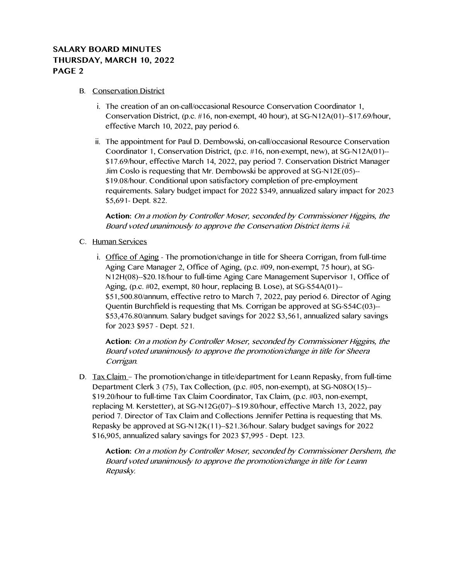### **SALARY BOARD MINUTES THURSDAY, MARCH 10, 2022 PAGE 2**

### B. Conservation District

- i. The creation of an on-call/occasional Resource Conservation Coordinator 1, Conservation District, (p.c. #16, non-exempt, 40 hour), at SG-N12A(01)--\$17.69/hour, effective March 10, 2022, pay period 6.
- ii. The appointment for Paul D. Dembowski, on-call/occasional Resource Conservation Coordinator 1, Conservation District, (p.c. #16, non-exempt, new), at SG-N12A(01)-- \$17.69/hour, effective March 14, 2022, pay period 7. Conservation District Manager Jim Coslo is requesting that Mr. Dembowski be approved at SG-N12E(05)-- \$19.08/hour. Conditional upon satisfactory completion of pre-employment requirements. Salary budget impact for 2022 \$349, annualized salary impact for 2023 \$5,691- Dept. 822.

**Action:** On a motion by Controller Moser, seconded by Commissioner Higgins, the Board voted unanimously to approve the Conservation District items i-ii.

- C. Human Services
	- i. Office of Aging The promotion/change in title for Sheera Corrigan, from full-time Aging Care Manager 2, Office of Aging, (p.c. #09, non-exempt, 75 hour), at SG-N12H(08)--\$20.18/hour to full-time Aging Care Management Supervisor 1, Office of Aging, (p.c. #02, exempt, 80 hour, replacing B. Lose), at SG-S54A(01)-- \$51,500.80/annum, effective retro to March 7, 2022, pay period 6. Director of Aging Quentin Burchfield is requesting that Ms. Corrigan be approved at SG-S54C(03)-- \$53,476.80/annum. Salary budget savings for 2022 \$3,561, annualized salary savings for 2023 \$957 - Dept. 521.

**Action:** On a motion by Controller Moser, seconded by Commissioner Higgins, the Board voted unanimously to approve the promotion/change in title for Sheera Corrigan.

D. Tax Claim – The promotion/change in title/department for Leann Repasky, from full-time Department Clerk 3 (75), Tax Collection, (p.c. #05, non-exempt), at SG-N08O(15)-- \$19.20/hour to full-time Tax Claim Coordinator, Tax Claim, (p.c. #03, non-exempt, replacing M. Kerstetter), at SG-N12G(07)--\$19.80/hour, effective March 13, 2022, pay period 7. Director of Tax Claim and Collections Jennifer Pettina is requesting that Ms. Repasky be approved at SG-N12K(11)--\$21.36/hour. Salary budget savings for 2022 \$16,905, annualized salary savings for 2023 \$7,995 - Dept. 123.

**Action:** On a motion by Controller Moser, seconded by Commissioner Dershem, the Board voted unanimously to approve the promotion/change in title for Leann Repasky.